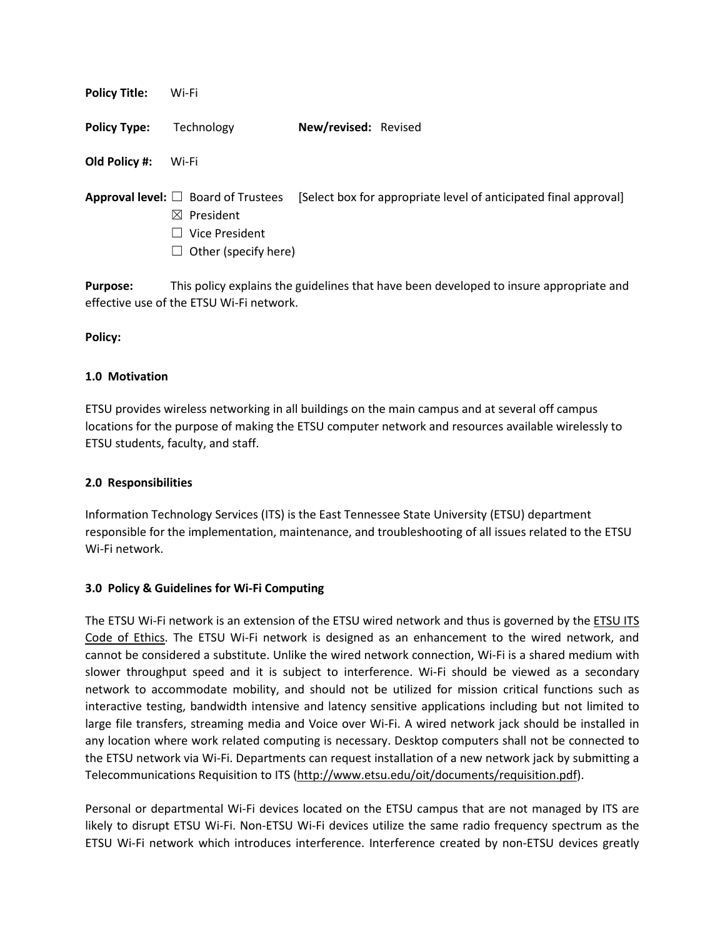| <b>Policy Title:</b> | Wi-Fi                                                                                                              |                                                                  |
|----------------------|--------------------------------------------------------------------------------------------------------------------|------------------------------------------------------------------|
| <b>Policy Type:</b>  | Technology                                                                                                         | New/revised: Revised                                             |
| Old Policy #:        | Wi-Fi                                                                                                              |                                                                  |
|                      | <b>Approval level:</b> $\Box$ Board of Trustees<br>$\boxtimes$ President<br>Vice President<br>Other (specify here) | [Select box for appropriate level of anticipated final approval] |

**Purpose:** This policy explains the guidelines that have been developed to insure appropriate and effective use of the ETSU Wi-Fi network.

**Policy:**

#### **1.0 Motivation**

ETSU provides wireless networking in all buildings on the main campus and at several off campus locations for the purpose of making the ETSU computer network and resources available wirelessly to ETSU students, faculty, and staff.

## **2.0 Responsibilities**

Information Technology Services (ITS) is the East Tennessee State University (ETSU) department responsible for the implementation, maintenance, and troubleshooting of all issues related to the ETSU Wi-Fi network.

## **3.0 Policy & Guidelines for Wi-Fi Computing**

The ETSU Wi-Fi network is an extension of the ETSU wired network and thus is governed by the [ETSU ITS](http://www.etsu.edu/its/policies/code-of-ethics.aspx)  [Code of Ethics.](http://www.etsu.edu/its/policies/code-of-ethics.aspx) The ETSU Wi-Fi network is designed as an enhancement to the wired network, and cannot be considered a substitute. Unlike the wired network connection, Wi-Fi is a shared medium with slower throughput speed and it is subject to interference. Wi-Fi should be viewed as a secondary network to accommodate mobility, and should not be utilized for mission critical functions such as interactive testing, bandwidth intensive and latency sensitive applications including but not limited to large file transfers, streaming media and Voice over Wi-Fi. A wired network jack should be installed in any location where work related computing is necessary. Desktop computers shall not be connected to the ETSU network via Wi-Fi. Departments can request installation of a new network jack by submitting a Telecommunications Requisition to ITS [\(http://www.etsu.edu/oit/documents/requisition.pdf\)](http://www.etsu.edu/oit/documents/requisition.pdf).

Personal or departmental Wi-Fi devices located on the ETSU campus that are not managed by ITS are likely to disrupt ETSU Wi-Fi. Non-ETSU Wi-Fi devices utilize the same radio frequency spectrum as the ETSU Wi-Fi network which introduces interference. Interference created by non-ETSU devices greatly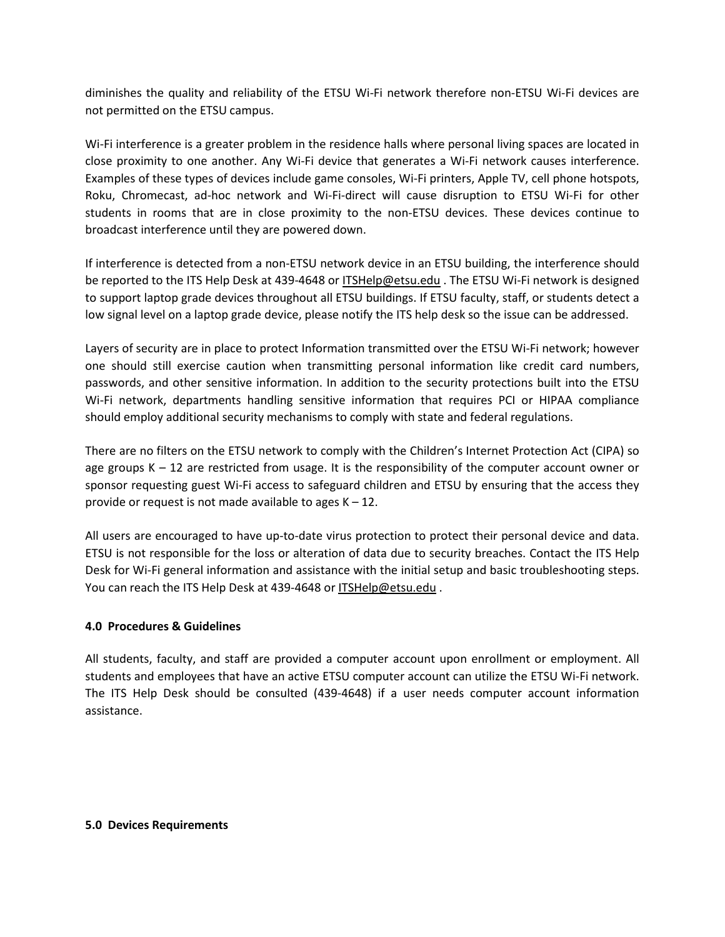diminishes the quality and reliability of the ETSU Wi-Fi network therefore non-ETSU Wi-Fi devices are not permitted on the ETSU campus.

Wi-Fi interference is a greater problem in the residence halls where personal living spaces are located in close proximity to one another. Any Wi-Fi device that generates a Wi-Fi network causes interference. Examples of these types of devices include game consoles, Wi-Fi printers, Apple TV, cell phone hotspots, Roku, Chromecast, ad-hoc network and Wi-Fi-direct will cause disruption to ETSU Wi-Fi for other students in rooms that are in close proximity to the non-ETSU devices. These devices continue to broadcast interference until they are powered down.

If interference is detected from a non-ETSU network device in an ETSU building, the interference should be reported to the ITS Help Desk at 439-4648 or [ITSHelp@etsu.edu](mailto:ITSHelp@etsu.edu?Subject=) . The ETSU Wi-Fi network is designed to support laptop grade devices throughout all ETSU buildings. If ETSU faculty, staff, or students detect a low signal level on a laptop grade device, please notify the ITS help desk so the issue can be addressed.

Layers of security are in place to protect Information transmitted over the ETSU Wi-Fi network; however one should still exercise caution when transmitting personal information like credit card numbers, passwords, and other sensitive information. In addition to the security protections built into the ETSU Wi-Fi network, departments handling sensitive information that requires PCI or HIPAA compliance should employ additional security mechanisms to comply with state and federal regulations.

There are no filters on the ETSU network to comply with the Children's Internet Protection Act (CIPA) so age groups  $K - 12$  are restricted from usage. It is the responsibility of the computer account owner or sponsor requesting guest Wi-Fi access to safeguard children and ETSU by ensuring that the access they provide or request is not made available to ages  $K - 12$ .

All users are encouraged to have up-to-date virus protection to protect their personal device and data. ETSU is not responsible for the loss or alteration of data due to security breaches. Contact the ITS Help Desk for Wi-Fi general information and assistance with the initial setup and basic troubleshooting steps. You can reach the ITS Help Desk at 439-4648 or [ITSHelp@etsu.edu](mailto:ITSHelp@etsu.edu?Subject=).

## **4.0 Procedures & Guidelines**

All students, faculty, and staff are provided a computer account upon enrollment or employment. All students and employees that have an active ETSU computer account can utilize the ETSU Wi-Fi network. The ITS Help Desk should be consulted (439-4648) if a user needs computer account information assistance.

#### **5.0 Devices Requirements**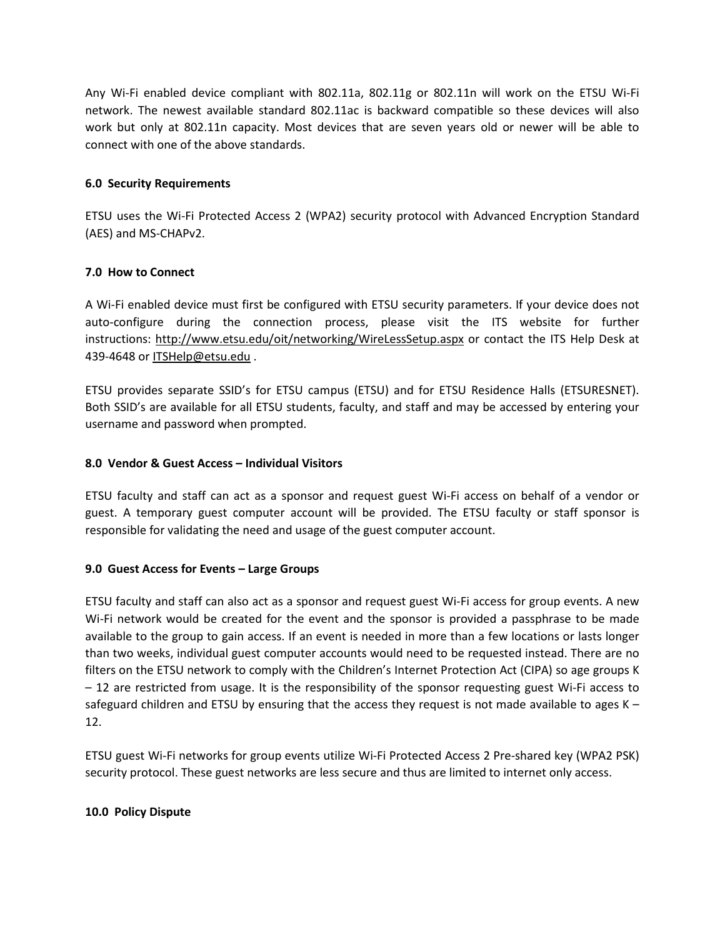Any Wi-Fi enabled device compliant with 802.11a, 802.11g or 802.11n will work on the ETSU Wi-Fi network. The newest available standard 802.11ac is backward compatible so these devices will also work but only at 802.11n capacity. Most devices that are seven years old or newer will be able to connect with one of the above standards.

# **6.0 Security Requirements**

ETSU uses the Wi-Fi Protected Access 2 (WPA2) security protocol with Advanced Encryption Standard (AES) and MS-CHAPv2.

## **7.0 How to Connect**

A Wi-Fi enabled device must first be configured with ETSU security parameters. If your device does not auto-configure during the connection process, please visit the ITS website for further instructions:<http://www.etsu.edu/oit/networking/WireLessSetup.aspx> or contact the ITS Help Desk at 439-4648 or [ITSHelp@etsu.edu](mailto:ITSHelp@etsu.edu?Subject=) .

ETSU provides separate SSID's for ETSU campus (ETSU) and for ETSU Residence Halls (ETSURESNET). Both SSID's are available for all ETSU students, faculty, and staff and may be accessed by entering your username and password when prompted.

## **8.0 Vendor & Guest Access – Individual Visitors**

ETSU faculty and staff can act as a sponsor and request guest Wi-Fi access on behalf of a vendor or guest. A temporary guest computer account will be provided. The ETSU faculty or staff sponsor is responsible for validating the need and usage of the guest computer account.

## **9.0 Guest Access for Events – Large Groups**

ETSU faculty and staff can also act as a sponsor and request guest Wi-Fi access for group events. A new Wi-Fi network would be created for the event and the sponsor is provided a passphrase to be made available to the group to gain access. If an event is needed in more than a few locations or lasts longer than two weeks, individual guest computer accounts would need to be requested instead. There are no filters on the ETSU network to comply with the Children's Internet Protection Act (CIPA) so age groups K – 12 are restricted from usage. It is the responsibility of the sponsor requesting guest Wi-Fi access to safeguard children and ETSU by ensuring that the access they request is not made available to ages  $K -$ 12.

ETSU guest Wi-Fi networks for group events utilize Wi-Fi Protected Access 2 Pre-shared key (WPA2 PSK) security protocol. These guest networks are less secure and thus are limited to internet only access.

## **10.0 Policy Dispute**